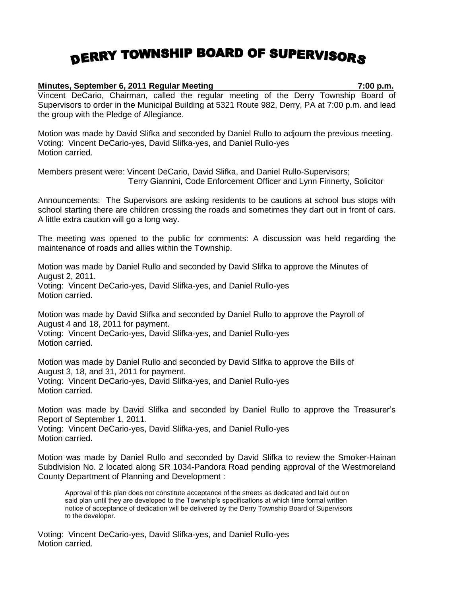## DERRY TOWNSHIP BOARD OF SUPERVISORS

## **Minutes, September 6, 2011 Regular Meeting 7:00 p.m.**

Vincent DeCario, Chairman, called the regular meeting of the Derry Township Board of Supervisors to order in the Municipal Building at 5321 Route 982, Derry, PA at 7:00 p.m. and lead the group with the Pledge of Allegiance.

Motion was made by David Slifka and seconded by Daniel Rullo to adjourn the previous meeting. Voting: Vincent DeCario-yes, David Slifka-yes, and Daniel Rullo-yes Motion carried.

Members present were: Vincent DeCario, David Slifka, and Daniel Rullo-Supervisors; Terry Giannini, Code Enforcement Officer and Lynn Finnerty, Solicitor

Announcements: The Supervisors are asking residents to be cautions at school bus stops with school starting there are children crossing the roads and sometimes they dart out in front of cars. A little extra caution will go a long way.

The meeting was opened to the public for comments: A discussion was held regarding the maintenance of roads and allies within the Township.

Motion was made by Daniel Rullo and seconded by David Slifka to approve the Minutes of August 2, 2011. Voting: Vincent DeCario-yes, David Slifka-yes, and Daniel Rullo-yes Motion carried.

Motion was made by David Slifka and seconded by Daniel Rullo to approve the Payroll of August 4 and 18, 2011 for payment.

Voting: Vincent DeCario-yes, David Slifka-yes, and Daniel Rullo-yes Motion carried.

Motion was made by Daniel Rullo and seconded by David Slifka to approve the Bills of August 3, 18, and 31, 2011 for payment. Voting: Vincent DeCario-yes, David Slifka-yes, and Daniel Rullo-yes Motion carried.

Motion was made by David Slifka and seconded by Daniel Rullo to approve the Treasurer's Report of September 1, 2011. Voting: Vincent DeCario-yes, David Slifka-yes, and Daniel Rullo-yes Motion carried.

Motion was made by Daniel Rullo and seconded by David Slifka to review the Smoker-Hainan Subdivision No. 2 located along SR 1034-Pandora Road pending approval of the Westmoreland County Department of Planning and Development :

Approval of this plan does not constitute acceptance of the streets as dedicated and laid out on said plan until they are developed to the Township's specifications at which time formal written notice of acceptance of dedication will be delivered by the Derry Township Board of Supervisors to the developer.

Voting: Vincent DeCario-yes, David Slifka-yes, and Daniel Rullo-yes Motion carried.